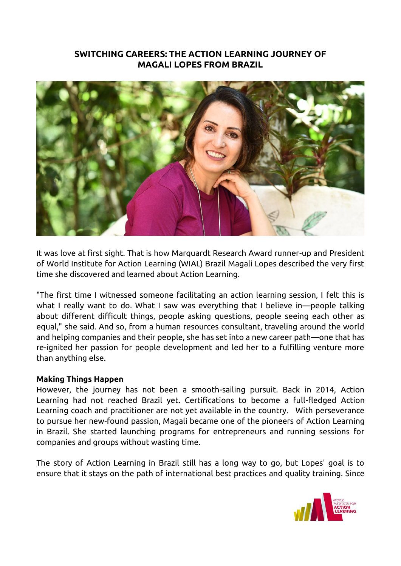## **SWITCHING CAREERS: THE ACTION LEARNING JOURNEY OF MAGALI LOPES FROM BRAZIL**



It was love at first sight. That is how Marquardt Research Award runner-up and President of World Institute for Action Learning (WIAL) Brazil Magali Lopes described the very first time she discovered and learned about Action Learning.

"The first time I witnessed someone facilitating an action learning session, I felt this is what I really want to do. What I saw was everything that I believe in—people talking about different difficult things, people asking questions, people seeing each other as equal," she said. And so, from a human resources consultant, traveling around the world and helping companies and their people, she has set into a new career path—one that has re-ignited her passion for people development and led her to a fulfilling venture more than anything else.

## **Making Things Happen**

However, the journey has not been a smooth-sailing pursuit. Back in 2014, Action Learning had not reached Brazil yet. Certifications to become a full-fledged Action Learning coach and practitioner are not yet available in the country. With perseverance to pursue her new-found passion, Magali became one of the pioneers of Action Learning in Brazil. She started launching programs for entrepreneurs and running sessions for companies and groups without wasting time.

The story of Action Learning in Brazil still has a long way to go, but Lopes' goal is to ensure that it stays on the path of international best practices and quality training. Since

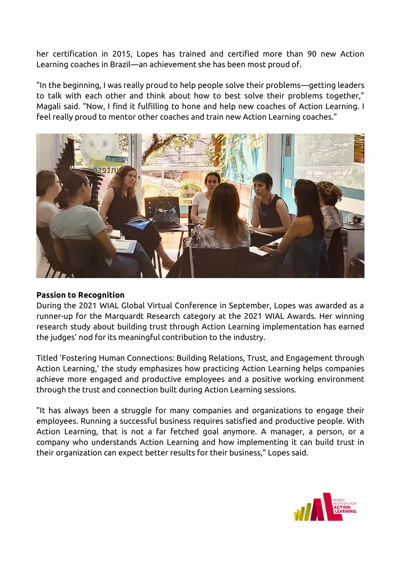her certification in 2015, Lopes has trained and certified more than 90 new Action Learning coaches in Brazil—an achievement she has been most proud of.

"In the beginning, I was really proud to help people solve their problems—getting leaders to talk with each other and think about how to best solve their problems together," Magali said. "Now, I find it fulfilling to hone and help new coaches of Action Learning. I feel really proud to mentor other coaches and train new Action Learning coaches."



## **Passion to Recognition**

During the 2021 WIAL Global Virtual Conference in September, Lopes was awarded as a runner-up for the Marquardt Research category at the 2021 WIAL Awards. Her winning research study about building trust through Action Learning implementation has earned the judges' nod for its meaningful contribution to the industry.

Titled 'Fostering Human Connections: Building Relations, Trust, and Engagement through Action Learning,' the study emphasizes how practicing Action Learning helps companies achieve more engaged and productive employees and a positive working environment through the trust and connection built during Action Learning sessions.

"It has always been a struggle for many companies and organizations to engage their employees. Running a successful business requires satisfied and productive people. With Action Learning, that is not a far fetched goal anymore. A manager, a person, or a company who understands Action Learning and how implementing it can build trust in their organization can expect better results for their business," Lopes said.